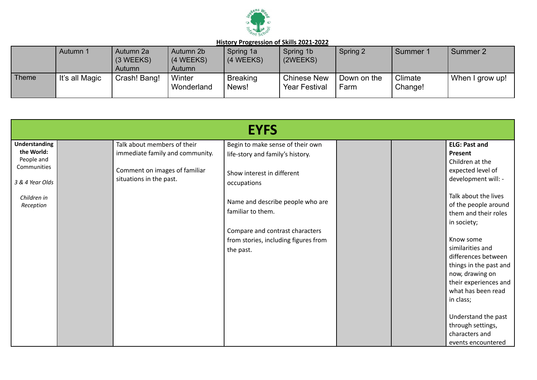

|       | Autumn 1       | Autumn 2a<br>$(3 \, \text{WEEKS})$<br>Autumn | Autumn 2b<br>(4 WEEKS)<br>Autumn | Spring 1a<br>(4 WEEKS)   | Spring 1b<br>(2WEEKS)                      | Spring 2            | Summer 1           | Summer 2        |
|-------|----------------|----------------------------------------------|----------------------------------|--------------------------|--------------------------------------------|---------------------|--------------------|-----------------|
| Theme | It's all Magic | Crash! Bang!                                 | Winter<br>Wonderland             | <b>Breaking</b><br>News! | <b>Chinese New</b><br><b>Year Festival</b> | Down on the<br>Farm | Climate<br>Change! | When I grow up! |

|                                    |                                                                | <b>EYFS</b>                                                          |                                             |
|------------------------------------|----------------------------------------------------------------|----------------------------------------------------------------------|---------------------------------------------|
| <b>Understanding</b><br>the World: | Talk about members of their<br>immediate family and community. | Begin to make sense of their own<br>life-story and family's history. | <b>ELG: Past and</b><br>Present             |
| People and                         |                                                                |                                                                      | Children at the                             |
| Communities                        | Comment on images of familiar                                  | Show interest in different                                           | expected level of                           |
| 3 & 4 Year Olds                    | situations in the past.                                        | occupations                                                          | development will: -                         |
| Children in                        |                                                                |                                                                      | Talk about the lives                        |
| Reception                          |                                                                | Name and describe people who are                                     | of the people around                        |
|                                    |                                                                | familiar to them.                                                    | them and their roles                        |
|                                    |                                                                | Compare and contrast characters                                      | in society;                                 |
|                                    |                                                                | from stories, including figures from                                 | Know some                                   |
|                                    |                                                                | the past.                                                            | similarities and                            |
|                                    |                                                                |                                                                      | differences between                         |
|                                    |                                                                |                                                                      | things in the past and                      |
|                                    |                                                                |                                                                      | now, drawing on                             |
|                                    |                                                                |                                                                      | their experiences and<br>what has been read |
|                                    |                                                                |                                                                      | in class;                                   |
|                                    |                                                                |                                                                      |                                             |
|                                    |                                                                |                                                                      | Understand the past                         |
|                                    |                                                                |                                                                      | through settings,                           |
|                                    |                                                                |                                                                      | characters and                              |
|                                    |                                                                |                                                                      | events encountered                          |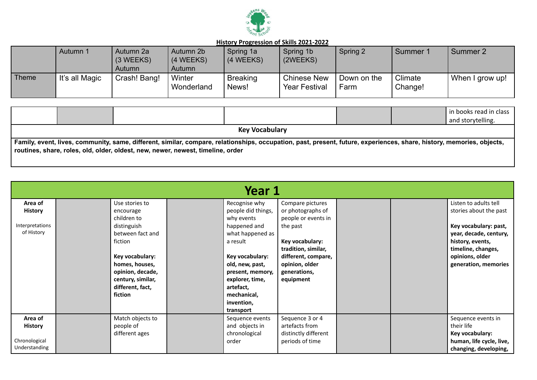

|       | Autumn 1       | Autumn 2a<br>(3 WEEKS)<br>Autumn | Autumn 2b<br>(4 WEEKS)<br>Autumn | Spring 1a<br>$(4 \, \text{WEEKS})$ | Spring 1b<br>(2WEEKS)                      | Spring 2            | Summer 1           | Summer 2        |
|-------|----------------|----------------------------------|----------------------------------|------------------------------------|--------------------------------------------|---------------------|--------------------|-----------------|
| Theme | It's all Magic | Crash! Bang!                     | Winter<br>Wonderland             | <b>Breaking</b><br>News!           | <b>Chinese New</b><br><b>Year Festival</b> | Down on the<br>Farm | Climate<br>Change! | When I grow up! |

|                                                                                                                                                                                                                                                          |  |  |  |  | in books read in class<br>and storytelling. |  |  |  |  |
|----------------------------------------------------------------------------------------------------------------------------------------------------------------------------------------------------------------------------------------------------------|--|--|--|--|---------------------------------------------|--|--|--|--|
| <b>Key Vocabulary</b>                                                                                                                                                                                                                                    |  |  |  |  |                                             |  |  |  |  |
| Family, event, lives, community, same, different, similar, compare, relationships, occupation, past, present, future, experiences, share, history, memories, objects,<br>routines, share, roles, old, older, oldest, new, newer, newest, timeline, order |  |  |  |  |                                             |  |  |  |  |

|                                                             | Year 1 |                                                                                                                                                                                                       |  |                                                                                                                                                                                                                                       |                                                                                                                                                                                          |  |  |                                                                                                                                                                                         |  |  |  |
|-------------------------------------------------------------|--------|-------------------------------------------------------------------------------------------------------------------------------------------------------------------------------------------------------|--|---------------------------------------------------------------------------------------------------------------------------------------------------------------------------------------------------------------------------------------|------------------------------------------------------------------------------------------------------------------------------------------------------------------------------------------|--|--|-----------------------------------------------------------------------------------------------------------------------------------------------------------------------------------------|--|--|--|
| Area of<br><b>History</b><br>Interpretations<br>of History  |        | Use stories to<br>encourage<br>children to<br>distinguish<br>between fact and<br>fiction<br>Key vocabulary:<br>homes, houses,<br>opinion, decade,<br>century, similar,<br>different, fact,<br>fiction |  | Recognise why<br>people did things,<br>why events<br>happened and<br>what happened as<br>a result<br>Key vocabulary:<br>old, new, past,<br>present, memory,<br>explorer, time,<br>artefact,<br>mechanical,<br>invention,<br>transport | Compare pictures<br>or photographs of<br>people or events in<br>the past<br>Key vocabulary:<br>tradition, similar,<br>different, compare,<br>opinion, older<br>generations,<br>equipment |  |  | Listen to adults tell<br>stories about the past<br>Key vocabulary: past,<br>year, decade, century,<br>history, events,<br>timeline, changes,<br>opinions, older<br>generation, memories |  |  |  |
| Area of<br><b>History</b><br>Chronological<br>Understanding |        | Match objects to<br>people of<br>different ages                                                                                                                                                       |  | Sequence events<br>and objects in<br>chronological<br>order                                                                                                                                                                           | Sequence 3 or 4<br>artefacts from<br>distinctly different<br>periods of time                                                                                                             |  |  | Sequence events in<br>their life<br>Key vocabulary:<br>human, life cycle, live,<br>changing, developing,                                                                                |  |  |  |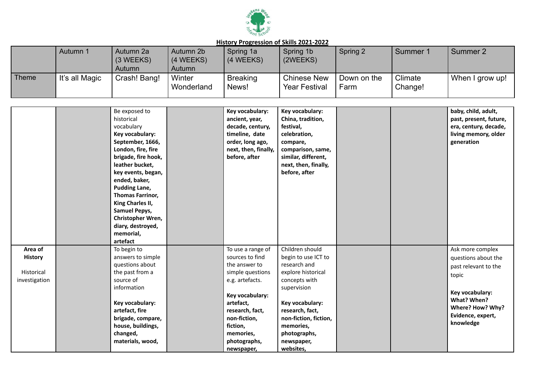

|              | Autumn 1       | Autumn 2a<br>(3 WEEKS)<br>Autumn | Autumn 2b<br>(4 WEEKS)<br>Autumn | Spring 1a<br>(4 WEEKS)   | Spring 1b<br>(2WEEKS)                      | Spring 2            | Summer 1           | Summer 2        |
|--------------|----------------|----------------------------------|----------------------------------|--------------------------|--------------------------------------------|---------------------|--------------------|-----------------|
| <b>Theme</b> | It's all Magic | Crash! Bang!                     | Winter<br>Wonderland             | <b>Breaking</b><br>News! | <b>Chinese New</b><br><b>Year Festival</b> | Down on the<br>Farm | Climate<br>Change! | When I grow up! |

|                                                          | Be exposed to<br>historical<br>vocabulary<br>Key vocabulary:<br>September, 1666,<br>London, fire, fire<br>brigade, fire hook,<br>leather bucket,<br>key events, began,<br>ended, baker,<br><b>Pudding Lane,</b><br><b>Thomas Farrinor,</b><br>King Charles II,<br><b>Samuel Pepys,</b><br>Christopher Wren,<br>diary, destroyed,<br>memorial,<br>artefact | Key vocabulary:<br>ancient, year,<br>decade, century,<br>timeline, date<br>order, long ago,<br>next, then, finally,<br>before, after                                                                                   | Key vocabulary:<br>China, tradition,<br>festival,<br>celebration,<br>compare,<br>comparison, same,<br>similar, different,<br>next, then, finally,<br>before, after                                                                  |  | baby, child, adult,<br>past, present, future,<br>era, century, decade,<br>living memory, older<br>generation                                                     |
|----------------------------------------------------------|-----------------------------------------------------------------------------------------------------------------------------------------------------------------------------------------------------------------------------------------------------------------------------------------------------------------------------------------------------------|------------------------------------------------------------------------------------------------------------------------------------------------------------------------------------------------------------------------|-------------------------------------------------------------------------------------------------------------------------------------------------------------------------------------------------------------------------------------|--|------------------------------------------------------------------------------------------------------------------------------------------------------------------|
| Area of<br><b>History</b><br>Historical<br>investigation | To begin to<br>answers to simple<br>questions about<br>the past from a<br>source of<br>information<br>Key vocabulary:<br>artefact, fire<br>brigade, compare,<br>house, buildings,<br>changed,<br>materials, wood,                                                                                                                                         | To use a range of<br>sources to find<br>the answer to<br>simple questions<br>e.g. artefacts.<br>Key vocabulary:<br>artefact,<br>research, fact,<br>non-fiction,<br>fiction,<br>memories,<br>photographs,<br>newspaper, | Children should<br>begin to use ICT to<br>research and<br>explore historical<br>concepts with<br>supervision<br>Key vocabulary:<br>research, fact,<br>non-fiction, fiction,<br>memories,<br>photographs,<br>newspaper,<br>websites, |  | Ask more complex<br>questions about the<br>past relevant to the<br>topic<br>Key vocabulary:<br>What? When?<br>Where? How? Why?<br>Evidence, expert,<br>knowledge |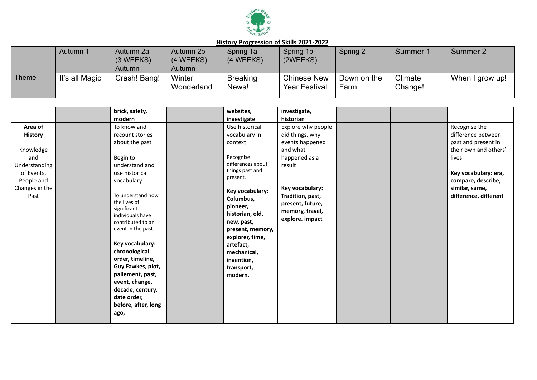

|              | Autumn 1       | Autumn 2a<br>(3 WEEKS)<br>Autumn | Autumn 2b<br>(4 WEEKS)<br>Autumn | Spring 1a<br>(4 WEEKS)   | Spring 1b<br>(2WEEKS)                      | Spring 2            | Summer 1           | Summer 2        |
|--------------|----------------|----------------------------------|----------------------------------|--------------------------|--------------------------------------------|---------------------|--------------------|-----------------|
| <b>Theme</b> | It's all Magic | Crash! Bang!                     | Winter<br>Wonderland             | <b>Breaking</b><br>News! | <b>Chinese New</b><br><b>Year Festival</b> | Down on the<br>Farm | Climate<br>Change! | When I grow up! |

|                | brick, safety,                        | websites,         | investigate,       |  |                       |
|----------------|---------------------------------------|-------------------|--------------------|--|-----------------------|
|                | modern                                | investigate       | historian          |  |                       |
| Area of        | To know and                           | Use historical    | Explore why people |  | Recognise the         |
| <b>History</b> | recount stories                       | vocabulary in     | did things, why    |  | difference between    |
|                | about the past                        | context           | events happened    |  | past and present in   |
| Knowledge      |                                       |                   | and what           |  | their own and others' |
| and            | Begin to                              | Recognise         | happened as a      |  | lives                 |
| Understanding  | understand and                        | differences about | result             |  |                       |
| of Events,     | use historical                        | things past and   |                    |  | Key vocabulary: era,  |
| People and     | vocabulary                            | present.          |                    |  | compare, describe,    |
| Changes in the |                                       | Key vocabulary:   | Key vocabulary:    |  | similar, same,        |
| Past           | To understand how                     | Columbus,         | Tradition, past,   |  | difference, different |
|                | the lives of                          | pioneer,          | present, future,   |  |                       |
|                | significant                           | historian, old,   | memory, travel,    |  |                       |
|                | individuals have<br>contributed to an | new, past,        | explore. impact    |  |                       |
|                | event in the past.                    | present, memory,  |                    |  |                       |
|                |                                       | explorer, time,   |                    |  |                       |
|                | Key vocabulary:                       | artefact,         |                    |  |                       |
|                | chronological                         | mechanical,       |                    |  |                       |
|                | order, timeline,                      | invention,        |                    |  |                       |
|                | Guy Fawkes, plot,                     | transport,        |                    |  |                       |
|                | paliement, past,                      | modern.           |                    |  |                       |
|                | event, change,                        |                   |                    |  |                       |
|                | decade, century,                      |                   |                    |  |                       |
|                | date order,                           |                   |                    |  |                       |
|                | before, after, long                   |                   |                    |  |                       |
|                | ago,                                  |                   |                    |  |                       |
|                |                                       |                   |                    |  |                       |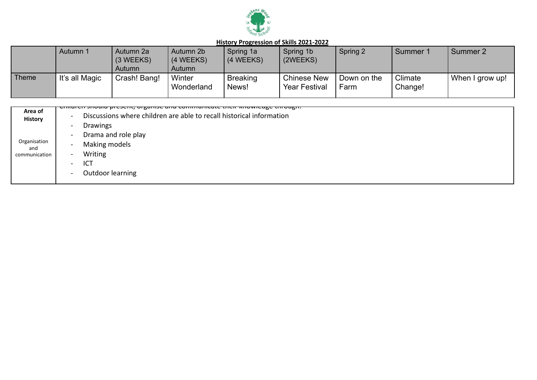

|       | Autumn 1       | Autumn 2a<br>(3 WEEKS)<br>Autumn | Autumn 2b<br>(4 WEEKS)<br>Autumn | Spring 1a<br>$(4 \, \text{WEEKS})$ | Spring 1b<br>(2WEEKS)                      | Spring 2            | Summer 1           | Summer 2        |
|-------|----------------|----------------------------------|----------------------------------|------------------------------------|--------------------------------------------|---------------------|--------------------|-----------------|
| Theme | It's all Magic | Crash! Bang!                     | Winter<br>Wonderland             | <b>Breaking</b><br>News!           | <b>Chinese New</b><br><b>Year Festival</b> | Down on the<br>Farm | Climate<br>Change! | When I grow up! |

|                           | Complete another present, organise and communicate their knowledge through. |
|---------------------------|-----------------------------------------------------------------------------|
| Area of<br><b>History</b> | Discussions where children are able to recall historical information        |
|                           | <b>Drawings</b><br>$\sim$                                                   |
|                           | Drama and role play                                                         |
| Organisation<br>and       | Making models<br>$\sim$                                                     |
| communication             | Writing<br>$\sim$                                                           |
|                           | ICT<br>$\sim$                                                               |
|                           | Outdoor learning<br>$\sim$                                                  |
|                           |                                                                             |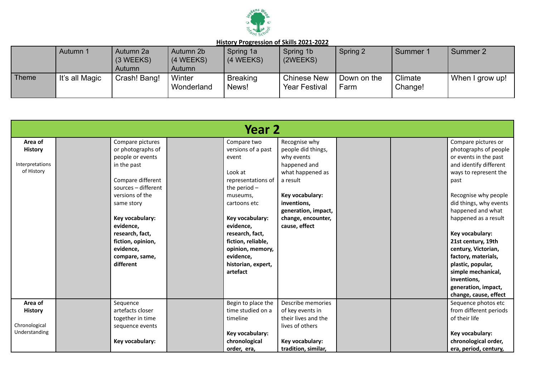

|       | Autumn 1       | Autumn 2a<br>$(3 \, \text{WEEKS})$<br>Autumn | Autumn 2b<br>(4 WEEKS)<br>Autumn | Spring 1a<br>(4 WEEKS)   | Spring 1b<br>(2WEEKS)                      | Spring 2            | Summer 1           | Summer 2        |
|-------|----------------|----------------------------------------------|----------------------------------|--------------------------|--------------------------------------------|---------------------|--------------------|-----------------|
| Theme | It's all Magic | Crash! Bang!                                 | Winter<br>Wonderland             | <b>Breaking</b><br>News! | <b>Chinese New</b><br><b>Year Festival</b> | Down on the<br>Farm | Climate<br>Change! | When I grow up! |

|                                                            | Year 2 |                                                                                                                                                                                                                                                                           |  |                                                                                                                                                                                                                                                                       |                                                                                                                                                                                                   |  |  |                                                                                                                                                                                                                                                                                                                                                                                  |  |  |
|------------------------------------------------------------|--------|---------------------------------------------------------------------------------------------------------------------------------------------------------------------------------------------------------------------------------------------------------------------------|--|-----------------------------------------------------------------------------------------------------------------------------------------------------------------------------------------------------------------------------------------------------------------------|---------------------------------------------------------------------------------------------------------------------------------------------------------------------------------------------------|--|--|----------------------------------------------------------------------------------------------------------------------------------------------------------------------------------------------------------------------------------------------------------------------------------------------------------------------------------------------------------------------------------|--|--|
| Area of<br><b>History</b><br>Interpretations<br>of History |        | Compare pictures<br>or photographs of<br>people or events<br>in the past<br>Compare different<br>sources - different<br>versions of the<br>same story<br>Key vocabulary:<br>evidence,<br>research, fact,<br>fiction, opinion,<br>evidence,<br>compare, same,<br>different |  | Compare two<br>versions of a past<br>event<br>Look at<br>representations of<br>the period $-$<br>museums,<br>cartoons etc<br>Key vocabulary:<br>evidence,<br>research, fact,<br>fiction, reliable,<br>opinion, memory,<br>evidence,<br>historian, expert,<br>artefact | Recognise why<br>people did things,<br>why events<br>happened and<br>what happened as<br>a result<br>Key vocabulary:<br>inventions.<br>generation, impact,<br>change, encounter,<br>cause, effect |  |  | Compare pictures or<br>photographs of people<br>or events in the past<br>and identify different<br>ways to represent the<br>past<br>Recognise why people<br>did things, why events<br>happened and what<br>happened as a result<br>Key vocabulary:<br>21st century, 19th<br>century, Victorian,<br>factory, materials,<br>plastic, popular,<br>simple mechanical,<br>inventions, |  |  |
|                                                            |        |                                                                                                                                                                                                                                                                           |  |                                                                                                                                                                                                                                                                       |                                                                                                                                                                                                   |  |  | generation, impact,<br>change, cause, effect                                                                                                                                                                                                                                                                                                                                     |  |  |
| Area of<br><b>History</b><br>Chronological                 |        | Sequence<br>artefacts closer<br>together in time<br>sequence events                                                                                                                                                                                                       |  | Begin to place the<br>time studied on a<br>timeline                                                                                                                                                                                                                   | Describe memories<br>of key events in<br>their lives and the<br>lives of others                                                                                                                   |  |  | Sequence photos etc<br>from different periods<br>of their life                                                                                                                                                                                                                                                                                                                   |  |  |
| Understanding                                              |        | Key vocabulary:                                                                                                                                                                                                                                                           |  | Key vocabulary:<br>chronological<br>order, era,                                                                                                                                                                                                                       | Key vocabulary:<br>tradition, similar,                                                                                                                                                            |  |  | Key vocabulary:<br>chronological order,<br>era, period, century,                                                                                                                                                                                                                                                                                                                 |  |  |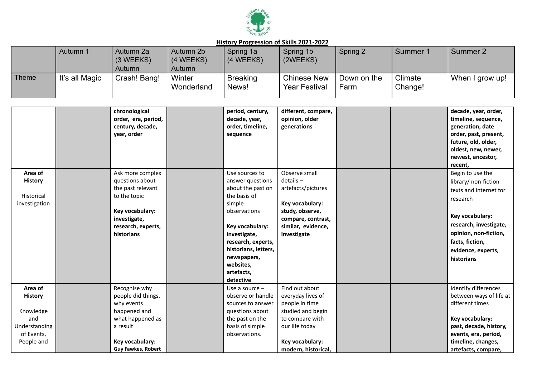

|       | Autumn 1       | Autumn 2a<br>(3 WEEKS)<br>Autumn | Autumn 2b<br>(4 WEEKS)<br>Autumn | Spring 1a<br>$(4 \, \text{WEEKS})$ | Spring 1b<br>(2WEEKS)                      | Spring 2            | Summer 1           | Summer 2        |
|-------|----------------|----------------------------------|----------------------------------|------------------------------------|--------------------------------------------|---------------------|--------------------|-----------------|
| Theme | It's all Magic | Crash! Bang!                     | Winter<br>Wonderland             | <b>Breaking</b><br>News!           | <b>Chinese New</b><br><b>Year Festival</b> | Down on the<br>Farm | Climate<br>Change! | When I grow up! |

|                                                                                            | chronological<br>order, era, period,<br>century, decade,<br>year, order                                                                           | period, century,<br>decade, year,<br>order, timeline,<br>sequence                                                                                                                                                                         | different, compare,<br>opinion, older<br>generations                                                                                                      |  | decade, year, order,<br>timeline, sequence,<br>generation, date<br>order, past, present,<br>future, old, older,<br>oldest, new, newer,<br>newest, ancestor,<br>recent,                                      |
|--------------------------------------------------------------------------------------------|---------------------------------------------------------------------------------------------------------------------------------------------------|-------------------------------------------------------------------------------------------------------------------------------------------------------------------------------------------------------------------------------------------|-----------------------------------------------------------------------------------------------------------------------------------------------------------|--|-------------------------------------------------------------------------------------------------------------------------------------------------------------------------------------------------------------|
| Area of<br>History<br><b>Historical</b><br>investigation                                   | Ask more complex<br>questions about<br>the past relevant<br>to the topic<br>Key vocabulary:<br>investigate,<br>research, experts,<br>historians   | Use sources to<br>answer questions<br>about the past on<br>the basis of<br>simple<br>observations<br>Key vocabulary:<br>investigate,<br>research, experts,<br>historians, letters,<br>newspapers,<br>websites,<br>artefacts,<br>detective | Observe small<br>$details -$<br>artefacts/pictures<br>Key vocabulary:<br>study, observe,<br>compare, contrast,<br>similar, evidence,<br>investigate       |  | Begin to use the<br>library/ non-fiction<br>texts and internet for<br>research<br>Key vocabulary:<br>research, investigate,<br>opinion, non-fiction,<br>facts, fiction,<br>evidence, experts,<br>historians |
| Area of<br><b>History</b><br>Knowledge<br>and<br>Understanding<br>of Events,<br>People and | Recognise why<br>people did things,<br>why events<br>happened and<br>what happened as<br>a result<br>Key vocabulary:<br><b>Guy Fawkes, Robert</b> | Use a source $-$<br>observe or handle<br>sources to answer<br>questions about<br>the past on the<br>basis of simple<br>observations.                                                                                                      | Find out about<br>everyday lives of<br>people in time<br>studied and begin<br>to compare with<br>our life today<br>Key vocabulary:<br>modern, historical, |  | Identify differences<br>between ways of life at<br>different times<br>Key vocabulary:<br>past, decade, history,<br>events, era, period,<br>timeline, changes,<br>artefacts, compare,                        |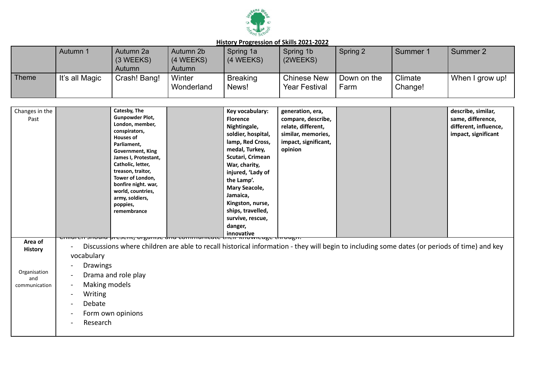

|       | Autumn 1       | Autumn 2a<br>(3 WEEKS)<br>Autumn | Autumn 2b<br>(4 WEEKS)<br>Autumn | Spring 1a<br>(4 WEEKS)   | Spring 1b<br>(2WEEKS)                      | Spring 2            | Summer 1           | Summer 2        |
|-------|----------------|----------------------------------|----------------------------------|--------------------------|--------------------------------------------|---------------------|--------------------|-----------------|
| Theme | It's all Magic | Crash! Bang!                     | Winter<br>Wonderland             | <b>Breaking</b><br>News! | <b>Chinese New</b><br><b>Year Festival</b> | Down on the<br>Farm | Climate<br>Change! | When I grow up! |

| Changes in the<br>Past                                            | Catesby, The<br>Gunpowder Plot,<br>London, member,<br>conspirators,<br><b>Houses of</b><br>Parliament,<br><b>Government, King</b><br>James I, Protestant,<br>Catholic, letter,<br>treason, traitor,<br>Tower of London,<br>bonfire night. war,<br>world, countries,<br>army, soldiers,<br>poppies,<br>remembrance | Key vocabulary:<br><b>Florence</b><br>Nightingale,<br>soldier, hospital,<br>lamp, Red Cross,<br>medal, Turkey,<br>Scutari, Crimean<br>War, charity,<br>injured, 'Lady of<br>the Lamp'.<br><b>Mary Seacole,</b><br>Jamaica,<br>Kingston, nurse,<br>ships, travelled,<br>survive, rescue,<br>danger,<br>innovative | generation, era,<br>compare, describe,<br>relate, different,<br>similar, memories,<br>impact, significant,<br>opinion |  | describe, similar,<br>same, difference,<br>different, influence,<br>impact, significant |
|-------------------------------------------------------------------|-------------------------------------------------------------------------------------------------------------------------------------------------------------------------------------------------------------------------------------------------------------------------------------------------------------------|------------------------------------------------------------------------------------------------------------------------------------------------------------------------------------------------------------------------------------------------------------------------------------------------------------------|-----------------------------------------------------------------------------------------------------------------------|--|-----------------------------------------------------------------------------------------|
| Area of<br><b>History</b><br>Organisation<br>and<br>communication | vocabulary<br><b>Drawings</b><br>Drama and role play<br>Making models<br><b>Writing</b><br>$\sim$<br>Debate<br>$\sim$<br>Form own opinions<br>$\sim$<br>Research                                                                                                                                                  | ouiu present, organise dnu communicate their inrowieuge through.<br>Discussions where children are able to recall historical information - they will begin to including some dates (or periods of time) and key                                                                                                  |                                                                                                                       |  |                                                                                         |